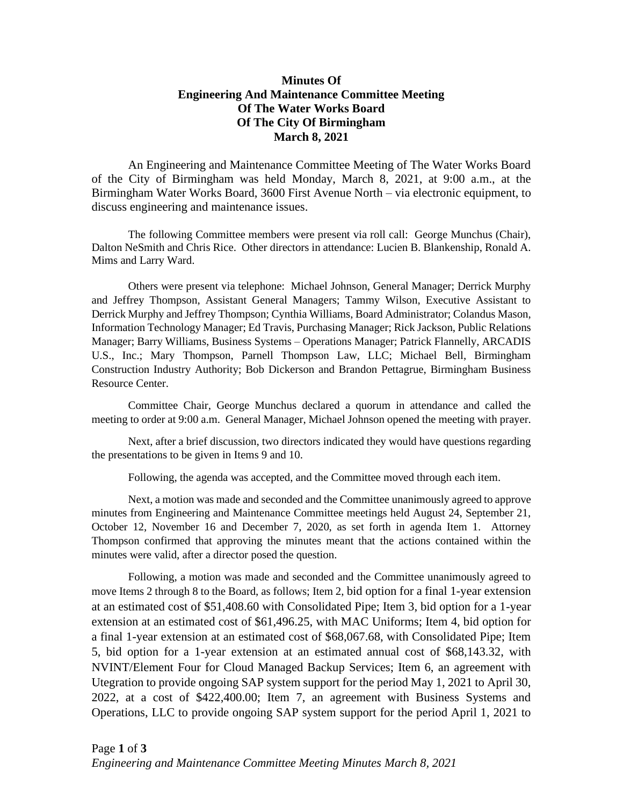## **Minutes Of Engineering And Maintenance Committee Meeting Of The Water Works Board Of The City Of Birmingham March 8, 2021**

An Engineering and Maintenance Committee Meeting of The Water Works Board of the City of Birmingham was held Monday, March 8, 2021, at 9:00 a.m., at the Birmingham Water Works Board, 3600 First Avenue North – via electronic equipment, to discuss engineering and maintenance issues.

The following Committee members were present via roll call: George Munchus (Chair), Dalton NeSmith and Chris Rice. Other directors in attendance: Lucien B. Blankenship, Ronald A. Mims and Larry Ward.

Others were present via telephone: Michael Johnson, General Manager; Derrick Murphy and Jeffrey Thompson, Assistant General Managers; Tammy Wilson, Executive Assistant to Derrick Murphy and Jeffrey Thompson; Cynthia Williams, Board Administrator; Colandus Mason, Information Technology Manager; Ed Travis, Purchasing Manager; Rick Jackson, Public Relations Manager; Barry Williams, Business Systems – Operations Manager; Patrick Flannelly, ARCADIS U.S., Inc.; Mary Thompson, Parnell Thompson Law, LLC; Michael Bell, Birmingham Construction Industry Authority; Bob Dickerson and Brandon Pettagrue, Birmingham Business Resource Center.

Committee Chair, George Munchus declared a quorum in attendance and called the meeting to order at 9:00 a.m. General Manager, Michael Johnson opened the meeting with prayer.

Next, after a brief discussion, two directors indicated they would have questions regarding the presentations to be given in Items 9 and 10.

Following, the agenda was accepted, and the Committee moved through each item.

Next, a motion was made and seconded and the Committee unanimously agreed to approve minutes from Engineering and Maintenance Committee meetings held August 24, September 21, October 12, November 16 and December 7, 2020, as set forth in agenda Item 1. Attorney Thompson confirmed that approving the minutes meant that the actions contained within the minutes were valid, after a director posed the question.

Following, a motion was made and seconded and the Committee unanimously agreed to move Items 2 through 8 to the Board, as follows; Item 2, bid option for a final 1-year extension at an estimated cost of \$51,408.60 with Consolidated Pipe; Item 3, bid option for a 1-year extension at an estimated cost of \$61,496.25, with MAC Uniforms; Item 4, bid option for a final 1-year extension at an estimated cost of \$68,067.68, with Consolidated Pipe; Item 5, bid option for a 1-year extension at an estimated annual cost of \$68,143.32, with NVINT/Element Four for Cloud Managed Backup Services; Item 6, an agreement with Utegration to provide ongoing SAP system support for the period May 1, 2021 to April 30, 2022, at a cost of \$422,400.00; Item 7, an agreement with Business Systems and Operations, LLC to provide ongoing SAP system support for the period April 1, 2021 to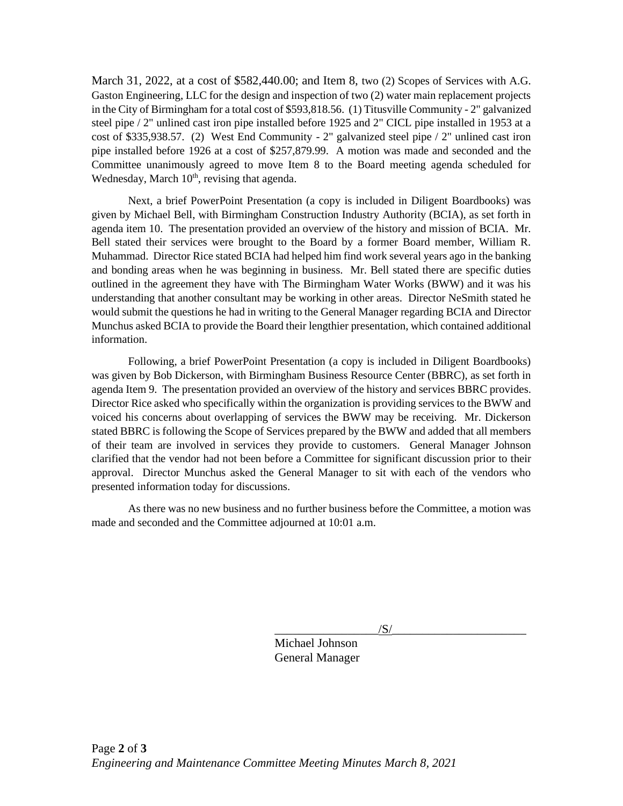March 31, 2022, at a cost of \$582,440.00; and Item 8, two (2) Scopes of Services with A.G. Gaston Engineering, LLC for the design and inspection of two (2) water main replacement projects in the City of Birmingham for a total cost of \$593,818.56. (1) Titusville Community - 2" galvanized steel pipe / 2" unlined cast iron pipe installed before 1925 and 2" CICL pipe installed in 1953 at a cost of \$335,938.57. (2) West End Community - 2" galvanized steel pipe / 2" unlined cast iron pipe installed before 1926 at a cost of \$257,879.99. A motion was made and seconded and the Committee unanimously agreed to move Item 8 to the Board meeting agenda scheduled for Wednesday, March  $10<sup>th</sup>$ , revising that agenda.

Next, a brief PowerPoint Presentation (a copy is included in Diligent Boardbooks) was given by Michael Bell, with Birmingham Construction Industry Authority (BCIA), as set forth in agenda item 10. The presentation provided an overview of the history and mission of BCIA. Mr. Bell stated their services were brought to the Board by a former Board member, William R. Muhammad. Director Rice stated BCIA had helped him find work several years ago in the banking and bonding areas when he was beginning in business. Mr. Bell stated there are specific duties outlined in the agreement they have with The Birmingham Water Works (BWW) and it was his understanding that another consultant may be working in other areas. Director NeSmith stated he would submit the questions he had in writing to the General Manager regarding BCIA and Director Munchus asked BCIA to provide the Board their lengthier presentation, which contained additional information.

Following, a brief PowerPoint Presentation (a copy is included in Diligent Boardbooks) was given by Bob Dickerson, with Birmingham Business Resource Center (BBRC), as set forth in agenda Item 9. The presentation provided an overview of the history and services BBRC provides. Director Rice asked who specifically within the organization is providing services to the BWW and voiced his concerns about overlapping of services the BWW may be receiving. Mr. Dickerson stated BBRC is following the Scope of Services prepared by the BWW and added that all members of their team are involved in services they provide to customers. General Manager Johnson clarified that the vendor had not been before a Committee for significant discussion prior to their approval. Director Munchus asked the General Manager to sit with each of the vendors who presented information today for discussions.

As there was no new business and no further business before the Committee, a motion was made and seconded and the Committee adjourned at 10:01 a.m.

 $\sqrt{S/}$ 

Michael Johnson General Manager